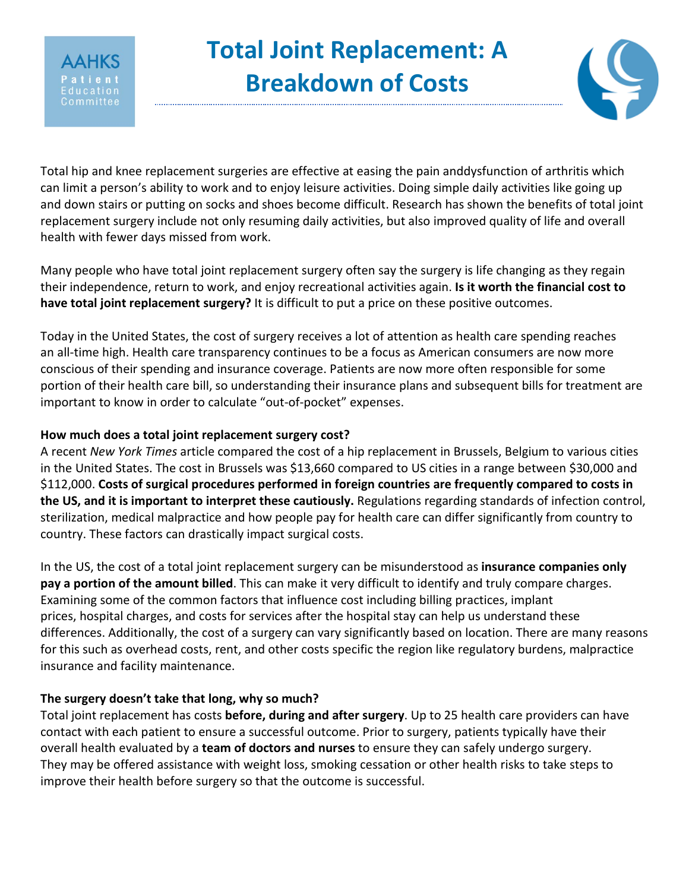

# **Total Joint Replacement: A Breakdown of Costs**



Total hip and knee replacement surgeries are effective at easing the pain anddysfunction of arthritis which can limit a person's ability to work and to enjoy leisure activities. Doing simple daily activities like going up and down stairs or putting on socks and shoes become difficult. Research has shown the benefits of total joint replacement surgery include not only resuming daily activities, but also improved quality of life and overall health with fewer days missed from work.

Many people who have total joint replacement surgery often say the surgery is life changing as they regain their independence, return to work, and enjoy recreational activities again. **Is it worth the financial cost to have total joint replacement surgery?** It is difficult to put a price on these positive outcomes.

Today in the United States, the cost of surgery receives a lot of attention as health care spending reaches an all-time high. Health care transparency continues to be a focus as American consumers are now more conscious of their spending and insurance coverage. Patients are now more often responsible for some portion of their health care bill, so understanding their insurance plans and subsequent bills for treatment are important to know in order to calculate "out-of-pocket" expenses.

# **How much does a total joint replacement surgery cost?**

A recent *New York Times* article compared the cost of a hip replacement in Brussels, Belgium to various cities in the United States. The cost in Brussels was \$13,660 compared to US cities in a range between \$30,000 and \$112,000. **Costs of surgical procedures performed in foreign countries are frequently compared to costs in the US, and it is important to interpret these cautiously.** Regulations regarding standards of infection control, sterilization, medical malpractice and how people pay for health care can differ significantly from country to country. These factors can drastically impact surgical costs.

In the US, the cost of a total joint replacement surgery can be misunderstood as **insurance companies only pay a portion of the amount billed**. This can make it very difficult to identify and truly compare charges. Examining some of the common factors that influence cost including billing practices, implant prices, hospital charges, and costs for services after the hospital stay can help us understand these differences. Additionally, the cost of a surgery can vary significantly based on location. There are many reasons for this such as overhead costs, rent, and other costs specific the region like regulatory burdens, malpractice insurance and facility maintenance.

# **The surgery doesn't take that long, why so much?**

Total joint replacement has costs **before, during and after surgery**. Up to 25 health care providers can have contact with each patient to ensure a successful outcome. Prior to surgery, patients typically have their overall health evaluated by a **team of doctors and nurses** to ensure they can safely undergo surgery. They may be offered assistance with weight loss, smoking cessation or other health risks to take steps to improve their health before surgery so that the outcome is successful.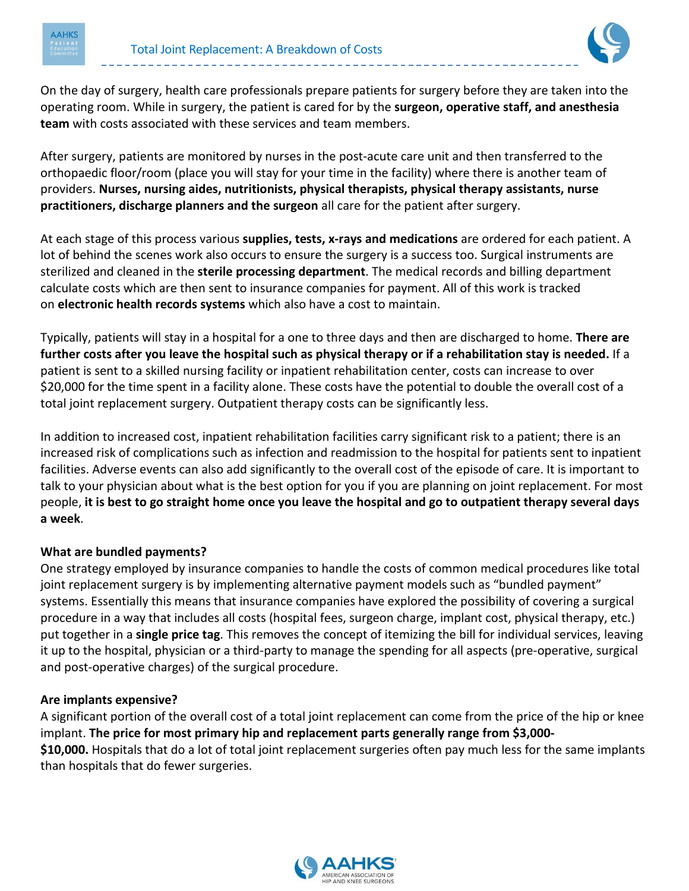



On the day of surgery, health care professionals prepare patients for surgery before they are taken into the operating room. While in surgery, the patient is cared for by the **surgeon, operative staff, and anesthesia team** with costs associated with these services and team members.

After surgery, patients are monitored by nurses in the post-acute care unit and then transferred to the orthopaedic floor/room (place you will stay for your time in the facility) where there is another team of providers. **Nurses, nursing aides, nutritionists, physical therapists, physical therapy assistants, nurse practitioners, discharge planners and the surgeon** all care for the patient after surgery.

At each stage of this process various **supplies, tests, x-rays and medications** are ordered for each patient. A lot of behind the scenes work also occurs to ensure the surgery is a success too. Surgical instruments are sterilized and cleaned in the **sterile processing department**. The medical records and billing department calculate costs which are then sent to insurance companies for payment. All of this work is tracked on **electronic health records systems** which also have a cost to maintain.

Typically, patients will stay in a hospital for a one to three days and then are discharged to home. **There are further costs after you leave the hospital such as physical therapy or if a rehabilitation stay is needed.** If a patient is sent to a skilled nursing facility or inpatient rehabilitation center, costs can increase to over \$20,000 for the time spent in a facility alone. These costs have the potential to double the overall cost of a total joint replacement surgery. Outpatient therapy costs can be significantly less.

In addition to increased cost, inpatient rehabilitation facilities carry significant risk to a patient; there is an increased risk of complications such as infection and readmission to the hospital for patients sent to inpatient facilities. Adverse events can also add significantly to the overall cost of the episode of care. It is important to talk to your physician about what is the best option for you if you are planning on joint replacement. For most people, **it is best to go straight home once you leave the hospital and go to outpatient therapy several days a week**.

## **What are bundled payments?**

One strategy employed by insurance companies to handle the costs of common medical procedures like total joint replacement surgery is by implementing alternative payment models such as "bundled payment" systems. Essentially this means that insurance companies have explored the possibility of covering a surgical procedure in a way that includes all costs (hospital fees, surgeon charge, implant cost, physical therapy, etc.) put together in a **single price tag**. This removes the concept of itemizing the bill for individual services, leaving it up to the hospital, physician or a third-party to manage the spending for all aspects (pre-operative, surgical and post-operative charges) of the surgical procedure.

#### **Are implants expensive?**

A significant portion of the overall cost of a total joint replacement can come from the price of the hip or knee implant. **The price for most primary hip and replacement parts generally range from \$3,000- \$10,000.** Hospitals that do a lot of total joint replacement surgeries often pay much less for the same implants than hospitals that do fewer surgeries.

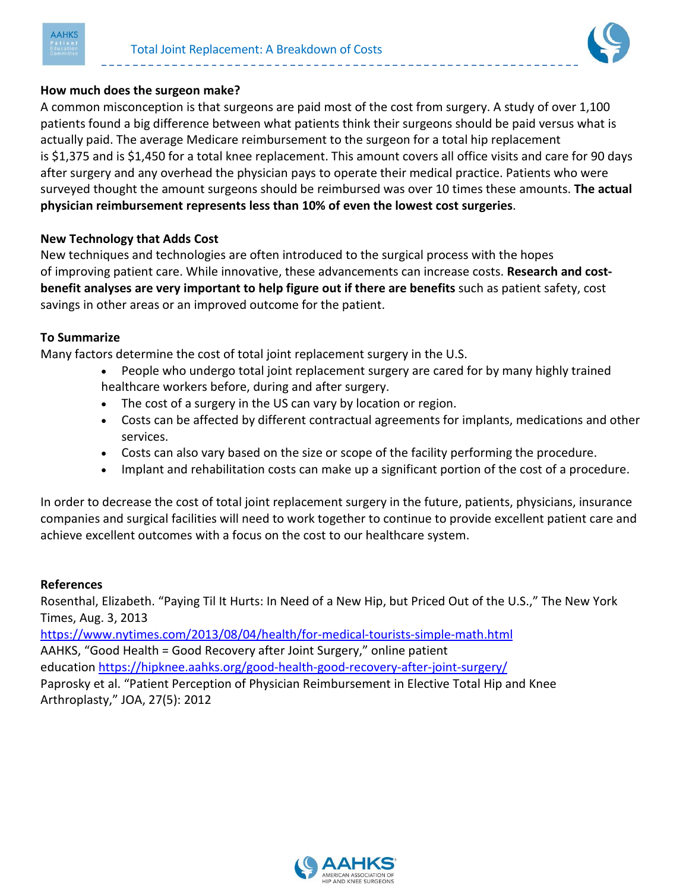



## **How much does the surgeon make?**

A common misconception is that surgeons are paid most of the cost from surgery. A study of over 1,100 patients found a big difference between what patients think their surgeons should be paid versus what is actually paid. The average Medicare reimbursement to the surgeon for a total hip replacement is \$1,375 and is \$1,450 for a total knee replacement. This amount covers all office visits and care for 90 days after surgery and any overhead the physician pays to operate their medical practice. Patients who were surveyed thought the amount surgeons should be reimbursed was over 10 times these amounts. **The actual physician reimbursement represents less than 10% of even the lowest cost surgeries**.

## **New Technology that Adds Cost**

New techniques and technologies are often introduced to the surgical process with the hopes of improving patient care. While innovative, these advancements can increase costs. **Research and costbenefit analyses are very important to help figure out if there are benefits** such as patient safety, cost savings in other areas or an improved outcome for the patient.

#### **To Summarize**

Many factors determine the cost of total joint replacement surgery in the U.S.

- People who undergo total joint replacement surgery are cared for by many highly trained healthcare workers before, during and after surgery.
- The cost of a surgery in the US can vary by location or region.
- Costs can be affected by different contractual agreements for implants, medications and other services.
- Costs can also vary based on the size or scope of the facility performing the procedure.
- Implant and rehabilitation costs can make up a significant portion of the cost of a procedure.

In order to decrease the cost of total joint replacement surgery in the future, patients, physicians, insurance companies and surgical facilities will need to work together to continue to provide excellent patient care and achieve excellent outcomes with a focus on the cost to our healthcare system.

#### **References**

Rosenthal, Elizabeth. "Paying Til It Hurts: In Need of a New Hip, but Priced Out of the U.S.," The New York Times, Aug. 3, 2013

<https://www.nytimes.com/2013/08/04/health/for-medical-tourists-simple-math.html> AAHKS, "Good Health = Good Recovery after Joint Surgery," online patient education <https://hipknee.aahks.org/good-health-good-recovery-after-joint-surgery/> Paprosky et al. "Patient Perception of Physician Reimbursement in Elective Total Hip and Knee Arthroplasty," JOA, 27(5): 2012